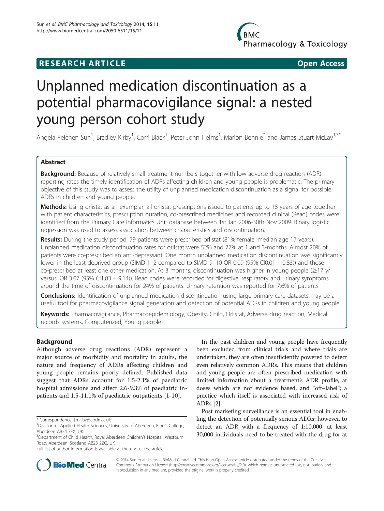# **RESEARCH ARTICLE CONSUMING A RESEARCH ARTICLE**

**RMC** Pharmacology & Toxicology

# Unplanned medication discontinuation as a potential pharmacovigilance signal: a nested young person cohort study

Angela Peichen Sun<sup>1</sup>, Bradley Kirby<sup>1</sup>, Corri Black<sup>1</sup>, Peter John Helms<sup>1</sup>, Marion Bennie<sup>2</sup> and James Stuart McLay<sup>1,3\*</sup>

# Abstract

Background: Because of relatively small treatment numbers together with low adverse drug reaction (ADR) reporting rates the timely identification of ADRs affecting children and young people is problematic. The primary objective of this study was to assess the utility of unplanned medication discontinuation as a signal for possible ADRs in children and young people.

Methods: Using orlistat as an exemplar, all orlistat prescriptions issued to patients up to 18 years of age together with patient characteristics, prescription duration, co-prescribed medicines and recorded clinical (Read) codes were identified from the Primary Care Informatics Unit database between 1st Jan 2006-30th Nov 2009. Binary logistic regression was used to assess association between characteristics and discontinuation.

Results: During the study period, 79 patients were prescribed orlistat (81% female, median age 17 years). Unplanned medication discontinuation rates for orlistat were 52% and 77% at 1 and 3-months. Almost 20% of patients were co-prescribed an anti-depressant. One month unplanned medication discontinuation was significantly lower in the least deprived group (SIMD 1–2 compared to SIMD 9–10 OR 0.09 (95% CI0.01 – 0.83)) and those co-prescribed at least one other medication. At 3 months, discontinuation was higher in young people (≥17 yr versus, OR 3.07 (95% CI1.03 – 9.14)). Read codes were recorded for digestive, respiratory and urinary symptoms around the time of discontinuation for 24% of patients. Urinary retention was reported for 7.6% of patients.

**Conclusions:** Identification of unplanned medication discontinuation using large primary care datasets may be a useful tool for pharmacovigilance signal generation and detection of potential ADRs in children and young people.

Keywords: Pharmacovigilance, Pharmacoepidemiology, Obesity, Child, Orlistat, Adverse drug reaction, Medical records systems, Computerized, Young people

# Background

Although adverse drug reactions (ADR) represent a major source of morbidity and mortality in adults, the nature and frequency of ADRs affecting children and young people remains poorly defined. Published data suggest that ADRs account for 1.5-2.1% of paediatric hospital admissions and affect 2.6-9.3% of paediatric inpatients and 1.5-11.1% of paediatric outpatients [[1-10](#page-7-0)].

In the past children and young people have frequently been excluded from clinical trials and where trials are undertaken, they are often insufficiently powered to detect even relatively common ADRs. This means that children and young people are often prescribed medication with limited information about a treatment's ADR profile, at doses which are not evidence based, and "off–label"; a practice which itself is associated with increased risk of ADRs [\[2\]](#page-7-0).

Post marketing surveillance is an essential tool in enabling the detection of potentially serious ADRs; however, to detect an ADR with a frequency of 1:10,000, at least 30,000 individuals need to be treated with the drug for at



© 2014 Sun et al.; licensee BioMed Central Ltd. This is an Open Access article distributed under the terms of the Creative Commons Attribution License [\(http://creativecommons.org/licenses/by/2.0\)](http://creativecommons.org/licenses/by/2.0), which permits unrestricted use, distribution, and reproduction in any medium, provided the original work is properly credited.

<sup>\*</sup> Correspondence: [j.mclay@abdn.ac.uk](mailto:j.mclay@abdn.ac.uk) <sup>1</sup>

<sup>&</sup>lt;sup>1</sup> Division of Applied Health Sciences, University of Aberdeen, King's College, Aberdeen AB24 3FX, UK

<sup>&</sup>lt;sup>3</sup>Department of Child Health, Royal Aberdeen Children's Hospital, Westburn Road, Aberdeen, Scotland AB25 2ZG, UK

Full list of author information is available at the end of the article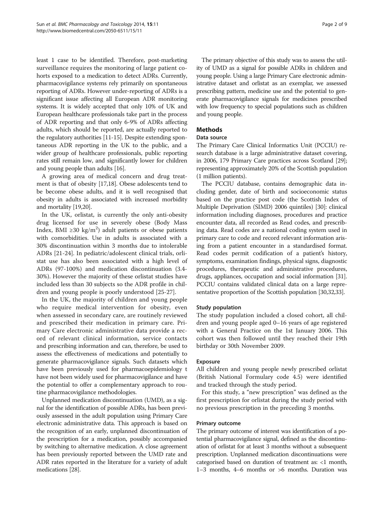least 1 case to be identified. Therefore, post-marketing surveillance requires the monitoring of large patient cohorts exposed to a medication to detect ADRs. Currently, pharmacovigilance systems rely primarily on spontaneous reporting of ADRs. However under-reporting of ADRs is a significant issue affecting all European ADR monitoring systems. It is widely accepted that only 10% of UK and European healthcare professionals take part in the process of ADR reporting and that only 6-9% of ADRs affecting adults, which should be reported, are actually reported to the regulatory authorities [\[11-15\]](#page-7-0). Despite extending spontaneous ADR reporting in the UK to the public, and a wider group of healthcare professionals, public reporting rates still remain low, and significantly lower for children and young people than adults [\[16](#page-7-0)].

A growing area of medical concern and drug treatment is that of obesity [\[17,18](#page-7-0)]. Obese adolescents tend to be become obese adults, and it is well recognised that obesity in adults is associated with increased morbidity and mortality [\[19,20](#page-7-0)].

In the UK, orlistat, is currently the only anti-obesity drug licensed for use in severely obese (Body Mass Index, BMI ≥30 kg/m<sup>2</sup>) adult patients or obese patients with comorbidities. Use in adults is associated with a 30% discontinuation within 3 months due to intolerable ADRs [\[21-24](#page-7-0)]. In pediatric/adolescent clinical trials, orlistat use has also been associated with a high level of ADRs (97-100%) and medication discontinuation (3.4- 30%). However the majority of these orlistat studies have included less than 30 subjects so the ADR profile in children and young people is poorly understood [[25-27](#page-7-0)].

In the UK, the majority of children and young people who require medical intervention for obesity, even when assessed in secondary care, are routinely reviewed and prescribed their medication in primary care. Primary Care electronic administrative data provide a record of relevant clinical information, service contacts and prescribing information and can, therefore, be used to assess the effectiveness of medications and potentially to generate pharmacovigilance signals. Such datasets which have been previously used for pharmacoepidemiology t have not been widely used for pharmacovigilance and have the potential to offer a complementary approach to routine pharmacovigilance methodologies.

Unplanned medication discontinuation (UMD), as a signal for the identification of possible ADRs, has been previously assessed in the adult population using Primary Care electronic administrative data. This approach is based on the recognition of an early, unplanned discontinuation of the prescription for a medication, possibly accompanied by switching to alternative medication. A close agreement has been previously reported between the UMD rate and ADR rates reported in the literature for a variety of adult medications [\[28](#page-7-0)].

The primary objective of this study was to assess the utility of UMD as a signal for possible ADRs in children and young people. Using a large Primary Care electronic administrative dataset and orlistat as an exemplar, we assessed prescribing pattern, medicine use and the potential to generate pharmacovigilance signals for medicines prescribed with low frequency to special populations such as children and young people.

# **Methods**

# Data source

The Primary Care Clinical Informatics Unit (PCCIU) research database is a large administrative dataset covering, in 2006, 179 Primary Care practices across Scotland [[29](#page-7-0)]; representing approximately 20% of the Scottish population (1 million patients).

The PCCIU database, contains demographic data including gender, date of birth and socioeconomic status based on the practice post code (the Scottish Index of Multiple Deprivation (SIMD) 2006 quintiles) [\[30](#page-7-0)]: clinical information including diagnoses, procedures and practice encounter data, all recorded as Read codes, and prescribing data. Read codes are a national coding system used in primary care to code and record relevant information arising from a patient encounter in a standardised format. Read codes permit codification of a patient's history, symptoms, examination findings, physical signs, diagnostic procedures, therapeutic and administrative procedures, drugs, appliances, occupation and social information [[31](#page-7-0)]. PCCIU contains validated clinical data on a large representative proportion of the Scottish population [\[30,32,33](#page-7-0)].

# Study population

The study population included a closed cohort, all children and young people aged 0–16 years of age registered with a General Practice on the 1st January 2006. This cohort was then followed until they reached their 19th birthday or 30th November 2009.

# Exposure

All children and young people newly prescribed orlistat (British National Formulary code 4.5) were identified and tracked through the study period.

For this study, a "new prescription" was defined as the first prescription for orlistat during the study period with no previous prescription in the preceding 3 months.

# Primary outcome

The primary outcome of interest was identification of a potential pharmacovigilance signal, defined as the discontinuation of orlistat for at least 3 months without a subsequent prescription. Unplanned medication discontinuations were categorised based on duration of treatment as: <1 month, 1–3 months, 4–6 months or >6 months. Duration was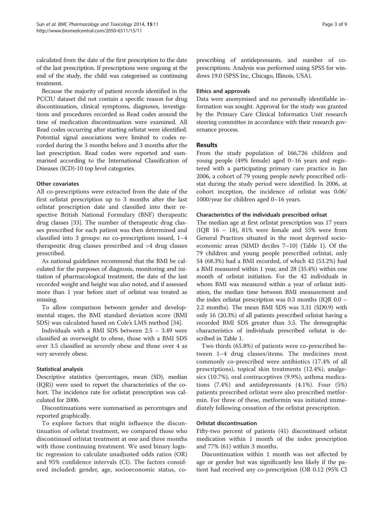calculated from the date of the first prescription to the date of the last prescription. If prescriptions were ongoing at the end of the study, the child was categorised as continuing treatment.

Because the majority of patient records identified in the PCCIU dataset did not contain a specific reason for drug discontinuation, clinical symptoms, diagnoses, investigations and procedures recorded as Read codes around the time of medication discontinuation were examined. All Read codes occurring after starting orlistat were identified. Potential signal associations were limited to codes recorded during the 3 months before and 3 months after the last prescription. Read codes were reported and summarised according to the International Classification of Diseases (ICD)-10 top level categories.

# Other covariates

All co-prescriptions were extracted from the date of the first orlistat prescription up to 3 months after the last orlistat prescription date and classified into their respective British National Formulary (BNF) therapeutic drug classes [\[33](#page-7-0)]. The number of therapeutic drug classes prescribed for each patient was then determined and classified into 3 groups: no co-prescriptions issued, 1–4 therapeutic drug classes prescribed and >4 drug classes prescribed.

As national guidelines recommend that the BMI be calculated for the purposes of diagnosis, monitoring and initiation of pharmacological treatment, the date of the last recorded weight and height was also noted, and if assessed more than 1 year before start of orlistat was treated as missing.

To allow comparison between gender and developmental stages, the BMI standard deviation score (BMI SDS) was calculated based on Cole's LMS method [\[34\]](#page-7-0).

Individuals with a BMI SDS between 2.5 – 3.49 were classified as overweight to obese, those with a BMI SDS over 3.5 classified as severely obese and those over 4 as very severely obese.

#### Statistical analysis

Descriptive statistics (percentages, mean (SD), median (IQR)) were used to report the characteristics of the cohort. The incidence rate for orlistat prescription was calculated for 2006.

Discontinuations were summarised as percentages and reported graphically.

To explore factors that might influence the discontinuation of orlistat treatment, we compared those who discontinued orlistat treatment at one and three months with those continuing treatment. We used binary logistic regression to calculate unadjusted odds ratios (OR) and 95% confidence intervals (CI). The factors considered included: gender, age, socioeconomic status, co-

prescribing of antidepressants, and number of coprescriptions. Analysis was performed using SPSS for windows 19.0 (SPSS Inc, Chicago, Illinois, USA).

#### Ethics and approvals

Data were anonymised and no personally identifiable information was sought. Approval for the study was granted by the Primary Care Clinical Informatics Unit research steering committee in accordance with their research governance process.

### Results

From the study population of 166,726 children and young people (49% female) aged 0–16 years and registered with a participating primary care practice in Jan 2006, a cohort of 79 young people newly prescribed orlistat during the study period were identified. In 2006, at cohort inception, the incidence of orlistat was 0.06/ 1000/year for children aged 0–16 years.

#### Characteristics of the individuals prescribed orlisat

The median age at first orlistat prescription was 17 years (IQR 16 – 18), 81% were female and 55% were from General Practices situated in the most deprived socioeconomic areas (SIMD deciles 7–10) (Table [1\)](#page-3-0). Of the 79 children and young people prescribed orlistat, only 54 (68.3%) had a BMI recorded, of which 42 (53.2%) had a BMI measured within 1 year, and 28 (35.4%) within one month of orlistat initiation. For the 42 individuals in whom BMI was measured within a year of orlistat initiation, the median time between BMI measurement and the index orlistat prescription was 0.3 months (IQR 0.0 – 2.2 months). The mean BMI SDS was 3.31 (SD0.9) with only 16 (20.3%) of all patients prescribed orlistat having a recorded BMI SDS greater than 3.5. The demographic characteristics of individuals prescribed orlistat is described in Table [1](#page-3-0).

Two thirds (65.8%) of patients were co-prescribed between 1–4 drug classes/items. The medicines most commonly co-prescribed were antibiotics (17.4% of all prescriptions), topical skin treatments (12.4%), analgesics (10.7%), oral contraceptives (9.9%), asthma medications (7.4%) and antidepressants (4.1%). Four (5%) patients prescribed orlistat were also prescribed metformin. For three of these, metformin was initiated immediately following cessation of the orlistat prescription.

#### Orlistat discontinuation

Fifty-two percent of patients (41) discontinued orlistat medication within 1 month of the index prescription and 77% (61) within 3 months.

Discontinuation within 1 month was not affected by age or gender but was significantly less likely if the patient had received any co-prescription (OR 0.12 (95% CI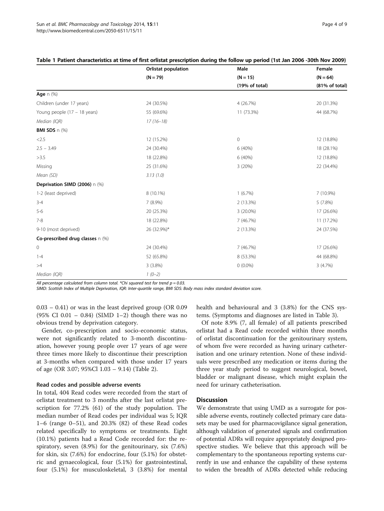|                                  | <b>Orlistat population</b> | Male           | Female         |  |
|----------------------------------|----------------------------|----------------|----------------|--|
|                                  | $(N = 79)$                 | $(N = 15)$     | $(N = 64)$     |  |
|                                  |                            | (19% of total) | (81% of total) |  |
| <b>Age</b> n (%)                 |                            |                |                |  |
| Children (under 17 years)        | 24 (30.5%)                 | 4 (26.7%)      | 20 (31.3%)     |  |
| Young people (17 - 18 years)     | 55 (69.6%)                 | 11 (73.3%)     | 44 (68.7%)     |  |
| Median (IQR)                     | $17(16-18)$                |                |                |  |
| <b>BMI SDS</b> n (%)             |                            |                |                |  |
| <2.5                             | 12 (15.2%)                 | $\mathbf 0$    | 12 (18.8%)     |  |
| $2.5 - 3.49$                     | 24 (30.4%)                 | 6 (40%)        | 18 (28.1%)     |  |
| >3.5                             | 18 (22.8%)                 | 6 (40%)        | 12 (18.8%)     |  |
| Missing                          | 25 (31.6%)                 | 3 (20%)        | 22 (34.4%)     |  |
| Mean (SD)                        | 3.13(1.0)                  |                |                |  |
| Deprivation SIMD (2006) n (%)    |                            |                |                |  |
| 1-2 (least deprived)             | 8 (10.1%)                  | 1(6.7%)        | 7 (10.9%)      |  |
| $3 - 4$                          | $7(8.9\%)$                 | 2 (13.3%)      | 5(7.8%)        |  |
| $5 - 6$                          | 20 (25.3%)                 | 3 (20.0%)      | 17 (26.6%)     |  |
| $7 - 8$                          | 18 (22.8%)                 | 7 (46.7%)      | 11 (17.2%)     |  |
| 9-10 (most deprived)             | 26 (32.9%)*                | 2 (13.3%)      | 24 (37.5%)     |  |
| Co-prescribed drug classes n (%) |                            |                |                |  |
| $\mathsf{O}\xspace$              | 24 (30.4%)                 | 7 (46.7%)      | 17 (26.6%)     |  |
| $1 - 4$                          | 52 (65.8%)                 | 8 (53.3%)      | 44 (68.8%)     |  |
| >4                               | $3(3.8\%)$                 | $0(0.0\%)$     | 3(4.7%)        |  |
| Median (IQR)                     | $1(0-2)$                   |                |                |  |

### <span id="page-3-0"></span>Table 1 Patient characteristics at time of first orlistat prescription during the follow up period (1st Jan 2006 -30th Nov 2009)

All percentage calculated from column total. \*Chi squared test for trend  $p = 0.03$ .

SIMD: Scottish Index of Multiple Deprivation, IQR: Inter-quartile range, BMI SDS: Body mass index standard deviation score.

0.03 – 0.41) or was in the least deprived group (OR 0.09 (95% CI 0.01 – 0.84) (SIMD 1–2) though there was no obvious trend by deprivation category.

Gender, co-prescription and socio-economic status, were not significantly related to 3-month discontinuation, however young people over 17 years of age were three times more likely to discontinue their prescription at 3-months when compared with those under 17 years of age (OR 3.07; 95%Cl 1.03 – 9.14) (Table [2\)](#page-4-0).

# Read codes and possible adverse events

In total, 404 Read codes were recorded from the start of orlistat treatment to 3 months after the last orlistat prescription for 77.2% (61) of the study population. The median number of Read codes per individual was 5; IQR 1–6 (range 0–51), and 20.3% (82) of these Read codes related specifically to symptoms or treatments. Eight (10.1%) patients had a Read Code recorded for: the respiratory, seven (8.9%) for the genitourinary, six (7.6%) for skin, six (7.6%) for endocrine, four (5.1%) for obstetric and gynaecological, four (5.1%) for gastrointestinal, four (5.1%) for musculoskeletal, 3 (3.8%) for mental health and behavioural and 3 (3.8%) for the CNS systems. (Symptoms and diagnoses are listed in Table [3\)](#page-5-0).

Of note 8.9% (7, all female) of all patients prescribed orlistat had a Read code recorded within three months of orlistat discontinuation for the genitourinary system, of whom five were recorded as having urinary catheterisation and one urinary retention. None of these individuals were prescribed any medication or items during the three year study period to suggest neurological, bowel, bladder or malignant disease, which might explain the need for urinary catheterisation.

# **Discussion**

We demonstrate that using UMD as a surrogate for possible adverse events, routinely collected primary care datasets may be used for pharmacovigilance signal generation, although validation of generated signals and confirmation of potential ADRs will require appropriately designed prospective studies. We believe that this approach will be complementary to the spontaneous reporting systems currently in use and enhance the capability of these systems to widen the breadth of ADRs detected while reducing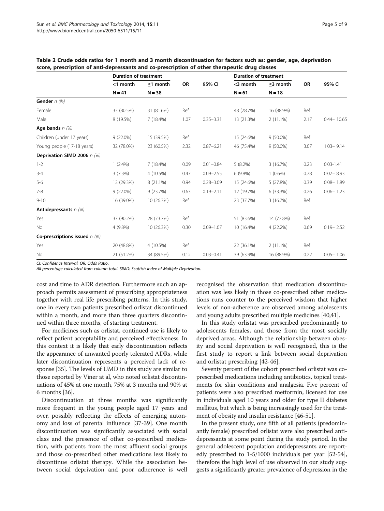|                                 | <b>Duration of treatment</b> |                |      | <b>Duration of treatment</b> |            |                |           |                |
|---------------------------------|------------------------------|----------------|------|------------------------------|------------|----------------|-----------|----------------|
|                                 | $<$ 1 month                  | $\geq$ 1 month | OR   | 95% CI                       | <3 month   | $\geq$ 3 month | <b>OR</b> | 95% CI         |
|                                 | $N = 41$                     | $N = 38$       |      |                              | $N = 61$   | $N = 18$       |           |                |
| Gender $n$ (%)                  |                              |                |      |                              |            |                |           |                |
| Female                          | 33 (80.5%)                   | 31 (81.6%)     | Ref  |                              | 48 (78.7%) | 16 (88.9%)     | Ref       |                |
| Male                            | 8 (19.5%)                    | 7(18.4%)       | 1.07 | $0.35 - 3.31$                | 13 (21.3%) | $2(11.1\%)$    | 2.17      | $0.44 - 10.65$ |
| Age bands $n$ (%)               |                              |                |      |                              |            |                |           |                |
| Children (under 17 years)       | $9(22.0\%)$                  | 15 (39.5%)     | Ref  |                              | 15 (24.6%) | $9(50.0\%)$    | Ref       |                |
| Young people (17-18 years)      | 32 (78.0%)                   | 23 (60.5%)     | 2.32 | $0.87 - 6.21$                | 46 (75.4%) | $9(50.0\%)$    | 3.07      | $1.03 - 9.14$  |
| Deprivation SIMD 2006 n (%)     |                              |                |      |                              |            |                |           |                |
| $1 - 2$                         | $1(2.4\%)$                   | 7(18.4%)       | 0.09 | $0.01 - 0.84$                | $5(8.2\%)$ | 3 (16.7%)      | 0.23      | $0.03 - 1.41$  |
| $3 - 4$                         | 3(7.3%)                      | 4 (10.5%)      | 0.47 | $0.09 - 2.55$                | 6(9.8%)    | $1(0.6\%)$     | 0.78      | $0.07 - 8.93$  |
| $5 - 6$                         | 12 (29.3%)                   | 8 (21.1%)      | 0.94 | $0.28 - 3.09$                | 15 (24.6%) | 5 (27.8%)      | 0.39      | $0.08 - 1.89$  |
| $7 - 8$                         | $9(22.0\%)$                  | 9(23.7%)       | 0.63 | $0.19 - 2.11$                | 12 (19.7%) | 6 (33.3%)      | 0.26      | $0.06 - 1.23$  |
| $9 - 10$                        | 16 (39.0%)                   | 10 (26.3%)     | Ref  |                              | 23 (37.7%) | 3 (16.7%)      | Ref       |                |
| Antidepressants n (%)           |                              |                |      |                              |            |                |           |                |
| Yes                             | 37 (90.2%)                   | 28 (73.7%)     | Ref  |                              | 51 (83.6%) | 14 (77.8%)     | Ref       |                |
| No                              | 4 (9.8%)                     | 10 (26.3%)     | 0.30 | $0.09 - 1.07$                | 10 (16.4%) | 4 (22.2%)      | 0.69      | $0.19 - 2.52$  |
| Co-prescriptions issued $n$ (%) |                              |                |      |                              |            |                |           |                |
| Yes                             | 20 (48.8%)                   | 4 (10.5%)      | Ref  |                              | 22 (36.1%) | $2(11.1\%)$    | Ref       |                |
| No                              | 21 (51.2%)                   | 34 (89.5%)     | 0.12 | $0.03 - 0.41$                | 39 (63.9%) | 16 (88.9%)     | 0.22      | $0.05 - 1.06$  |

<span id="page-4-0"></span>Table 2 Crude odds ratios for 1 month and 3 month discontinuation for factors such as: gender, age, deprivation score, prescription of anti-depressants and co-prescription of other therapeutic drug classes

CI; Confidence Interval. OR; Odds Ratio.

All percentage calculated from column total. SIMD: Scottish Index of Multiple Deprivation.

cost and time to ADR detection. Furthermore such an approach permits assessment of prescribing appropriateness together with real life prescribing patterns. In this study, one in every two patients prescribed orlistat discontinued within a month, and more than three quarters discontinued within three months, of starting treatment.

For medicines such as orlistat, continued use is likely to reflect patient acceptability and perceived effectiveness. In this context it is likely that early discontinuation reflects the appearance of unwanted poorly tolerated ADRs, while later discontinuation represents a perceived lack of response [[35](#page-7-0)]. The levels of UMD in this study are similar to those reported by Viner at al, who noted orlistat discontinuations of 45% at one month, 75% at 3 months and 90% at 6 months [\[36\]](#page-7-0).

Discontinuation at three months was significantly more frequent in the young people aged 17 years and over, possibly reflecting the effects of emerging autonomy and loss of parental influence [[37](#page-7-0)-[39\]](#page-8-0). One month discontinuation was significantly associated with social class and the presence of other co-prescribed medication, with patients from the most affluent social groups and those co-prescribed other medications less likely to discontinue orlistat therapy. While the association between social deprivation and poor adherence is well

recognised the observation that medication discontinuation was less likely in those co-prescribed other medications runs counter to the perceived wisdom that higher levels of non-adherence are observed among adolescents and young adults prescribed multiple medicines [\[40,41\]](#page-8-0).

In this study orlistat was prescribed predominantly to adolescents females, and those from the most socially deprived areas. Although the relationship between obesity and social deprivation is well recognised, this is the first study to report a link between social deprivation and orlistat prescribing [[42-46\]](#page-8-0).

Seventy percent of the cohort prescribed orlistat was coprescribed medications including antibiotics, topical treatments for skin conditions and analgesia. Five percent of patients were also prescribed metformin, licensed for use in individuals aged 10 years and older for type II diabetes mellitus, but which is being increasingly used for the treatment of obesity and insulin resistance [[46](#page-8-0)-[51](#page-8-0)].

In the present study, one fifth of all patients (predominantly female) prescribed orlistat were also prescribed antidepressants at some point during the study period. In the general adolescent population antidepressants are reportedly prescribed to 1-5/1000 individuals per year [[52](#page-8-0)-[54](#page-8-0)], therefore the high level of use observed in our study suggests a significantly greater prevalence of depression in the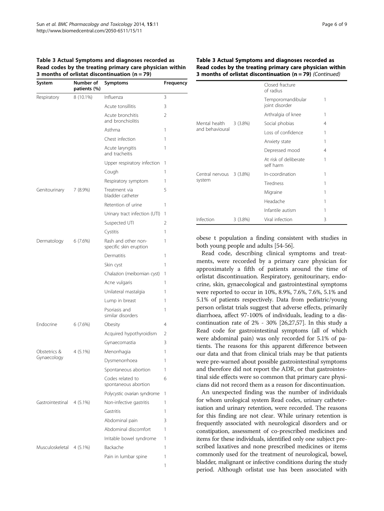| System                   | Number of<br>patients (%) | <b>Symptoms</b>                               | Frequency      |
|--------------------------|---------------------------|-----------------------------------------------|----------------|
| Respiratory              | 8 (10.1%)                 | Influenza                                     | 3              |
|                          |                           | Acute tonsillitis                             | 3              |
|                          |                           | Acute bronchitis<br>and bronchiolitis         | $\overline{2}$ |
|                          |                           | Asthma                                        | 1              |
|                          |                           | Chest infection                               | 1              |
|                          |                           | Acute laryngitis<br>and tracheitis            | 1              |
|                          |                           | Upper respiratory infection                   | 1              |
|                          |                           | Cough                                         | 1              |
|                          |                           | Respiratory symptom                           | 1              |
| Genitourinary            | $7(8.9\%)$                | Treatment via<br>bladder catheter             | 5              |
|                          |                           | Retention of urine                            | 1              |
|                          |                           | Urinary tract infection (UTI)                 | 1              |
|                          |                           | Suspected UTI                                 | 2              |
|                          |                           | Cystitis                                      | 1              |
| Dermatology              | 6(7.6%)                   | Rash and other non-<br>specific skin eruption | 1              |
|                          |                           | Dermatitis                                    | 1              |
|                          |                           | Skin cyst                                     | 1              |
|                          |                           | Chalazion (meibomian cyst)                    | 1              |
|                          |                           | Acne vulgaris                                 | 1              |
|                          |                           | Unilateral mastalgia                          | 1              |
|                          |                           | Lump in breast                                | 1              |
|                          |                           | Psoriasis and<br>similar disorders            | 1              |
| Endocrine                | 6(7.6%)                   | Obesity                                       | 4              |
|                          |                           | Acquired hypothyroidism                       | 2              |
|                          |                           | Gynaecomastia                                 | 3              |
| Obstetrics &             | 4 (5.1%)                  | Menorrhagia                                   | 1              |
| Gynaecology              |                           | Dysmenorrhoea                                 | 1              |
|                          |                           | Spontaneous abortion                          | 1              |
|                          |                           | Codes related to<br>spontaneous abortion      | 6              |
|                          |                           | Polycystic ovarian syndrome                   | 1              |
| Gastrointestinal         | $4(5.1\%)$                | Non-infective gastritis                       | 1              |
|                          |                           | Gastritis                                     | 1              |
|                          |                           | Abdominal pain                                | 3              |
|                          |                           | Abdominal discomfort                          | 1              |
|                          |                           | Irritable bowel syndrome                      | 1              |
| Musculoskeletal 4 (5.1%) |                           | Backache                                      | 1              |
|                          |                           | Pain in lumbar spine                          | 1              |
|                          |                           |                                               | 1              |

## <span id="page-5-0"></span>Table 3 Actual Symptoms and diagnoses recorded as Read codes by the treating primary care physician within 3 months of orlistat discontinuation (n = 79)

# Table 3 Actual Symptoms and diagnoses recorded as Read codes by the treating primary care physician within 3 months of orlistat discontinuation (n = 79) (Continued)

|                                    |         | Closed fracture<br>of radius        |   |
|------------------------------------|---------|-------------------------------------|---|
|                                    |         | Temporomandibular<br>joint disorder | 1 |
|                                    |         | Arthralgia of knee                  | 1 |
| Mental health<br>and behavioural   | 3(3.8%) | Social phobias                      | 4 |
|                                    |         | Loss of confidence                  | 1 |
|                                    |         | Anxiety state                       | 1 |
|                                    |         | Depressed mood                      | 4 |
|                                    |         | At risk of deliberate<br>self harm  | 1 |
| Central nervous 3 (3.8%)<br>system |         | In-coordination                     | 1 |
|                                    |         | <b>Tiredness</b>                    | 1 |
|                                    |         | Migraine                            | 1 |
|                                    |         | Headache                            |   |
|                                    |         | Infantile autism                    | 1 |
| Infection                          | 3(3.8%) | Viral infection                     | 3 |

obese t population a finding consistent with studies in both young people and adults [[54](#page-8-0)-[56](#page-8-0)].

Read code, describing clinical symptoms and treatments, were recorded by a primary care physician for approximately a fifth of patients around the time of orlistat discontinuation. Respiratory, genitourinary, endocrine, skin, gynaecological and gastrointestinal symptoms were reported to occur in 10%, 8.9%, 7.6%, 7.6%, 5.1% and 5.1% of patients respectively. Data from pediatric/young person orlistat trials suggest that adverse effects, primarily diarrhoea, affect 97-100% of individuals, leading to a discontinuation rate of 2% - 30% [\[26,27,](#page-7-0)[57](#page-8-0)]. In this study a Read code for gastrointestinal symptoms (all of which were abdominal pain) was only recorded for 5.1% of patients. The reasons for this apparent difference between our data and that from clinical trials may be that patients were pre-warned about possible gastrointestinal symptoms and therefore did not report the ADR, or that gastrointestinal side effects were so common that primary care physicians did not record them as a reason for discontinuation.

An unexpected finding was the number of individuals for whom urological system Read codes, urinary catheterisation and urinary retention, were recorded. The reasons for this finding are not clear. While urinary retention is frequently associated with neurological disorders and or constipation, assessment of co-prescribed medicines and items for these individuals, identified only one subject prescribed laxatives and none prescribed medicines or items commonly used for the treatment of neurological, bowel, bladder, malignant or infective conditions during the study period. Although orlistat use has been associated with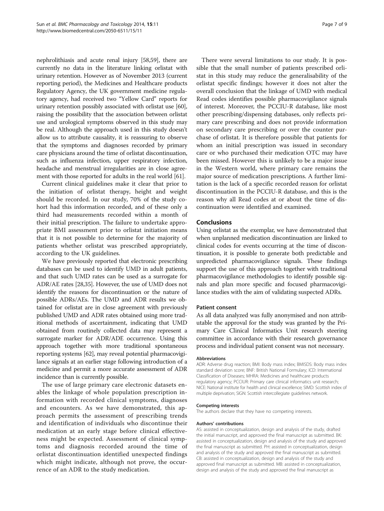nephrolithiasis and acute renal injury [[58,59\]](#page-8-0), there are currently no data in the literature linking orlistat with urinary retention. However as of November 2013 (current reporting period), the Medicines and Healthcare products Regulatory Agency, the UK government medicine regulatory agency, had received two "Yellow Card" reports for urinary retention possibly associated with orlistat use [[60](#page-8-0)], raising the possibility that the association between orlistat use and urological symptoms observed in this study may be real. Although the approach used in this study doesn't allow us to attribute causality, it is reassuring to observe that the symptoms and diagnoses recorded by primary care physicians around the time of orlistat discontinuation, such as influenza infection, upper respiratory infection, headache and menstrual irregularities are in close agreement with those reported for adults in the real world [\[61\]](#page-8-0).

Current clinical guidelines make it clear that prior to the initiation of orlistat therapy, height and weight should be recorded. In our study, 70% of the study cohort had this information recorded, and of these only a third had measurements recorded within a month of their initial prescription. The failure to undertake appropriate BMI assessment prior to orlistat initiation means that it is not possible to determine for the majority of patients whether orlistat was prescribed appropriately, according to the UK guidelines.

We have previously reported that electronic prescribing databases can be used to identify UMD in adult patients, and that such UMD rates can be used as a surrogate for ADR/AE rates [[28,35\]](#page-7-0). However, the use of UMD does not identify the reasons for discontinuation or the nature of possible ADRs/AEs. The UMD and ADR results we obtained for orlistat are in close agreement with previously published UMD and ADR rates obtained using more traditional methods of ascertainment, indicating that UMD obtained from routinely collected data may represent a surrogate marker for ADR/ADE occurrence. Using this approach together with more traditional spontaneous reporting systems [[62](#page-8-0)], may reveal potential pharmacovigilance signals at an earlier stage following introduction of a medicine and permit a more accurate assessment of ADR incidence than is currently possible.

The use of large primary care electronic datasets enables the linkage of whole population prescription information with recorded clinical symptoms, diagnoses and encounters. As we have demonstrated, this approach permits the assessment of prescribing trends and identification of individuals who discontinue their medication at an early stage before clinical effectiveness might be expected. Assessment of clinical symptoms and diagnosis recorded around the time of orlistat discontinuation identified unexpected findings which might indicate, although not prove, the occurrence of an ADR to the study medication.

There were several limitations to our study. It is possible that the small number of patients prescribed orlistat in this study may reduce the generalisability of the orlistat specific findings; however it does not alter the overall conclusion that the linkage of UMD with medical Read codes identifies possible pharmacovigilance signals of interest. Moreover, the PCCIU-R database, like most other prescribing/dispensing databases, only reflects primary care prescribing and does not provide information on secondary care prescribing or over the counter purchase of orlistat. It is therefore possible that patients for whom an initial prescription was issued in secondary care or who purchased their medication OTC may have been missed. However this is unlikely to be a major issue in the Western world, where primary care remains the major source of medication prescriptions. A further limitation is the lack of a specific recorded reason for orlistat discontinuation in the PCCIU-R database, and this is the reason why all Read codes at or about the time of discontinuation were identified and examined.

# **Conclusions**

Using orlistat as the exemplar, we have demonstrated that when unplanned medication discontinuation are linked to clinical codes for events occurring at the time of discontinuation, it is possible to generate both predictable and unpredicted pharmacovigilance signals. These findings support the use of this approach together with traditional pharmacovigilance methodologies to identify possible signals and plan more specific and focused pharmacovigilance studies with the aim of validating suspected ADRs.

### Patient consent

As all data analyzed was fully anonymised and non attributable the approval for the study was granted by the Primary Care Clinical Informatics Unit research steering committee in accordance with their research governance process and individual patient consent was not necessary.

#### Abbreviations

ADR: Adverse drug reaction; BMI: Body mass index; BMISDS: Body mass index standard deviation score; BNF: British National Formulary; ICD: International Classification of Diseases; MHRA: Medicines and healthcare products regulatory agency; PCCIUR: Primary care clinical informatics unit research; NICE: National institute for health and clinical excellence; SIMD: Scottish index of multiple deprivation; SIGN: Scottish intercollegiate guidelines network.

#### Competing interests

The authors declare that they have no competing interests.

#### Authors' contributions

AS: assisted in conceptualization, design and analysis of the study, drafted the initial manuscript, and approved the final manuscript as submitted. BK: assisted in conceptualization, design and analysis of the study and approved the final manuscript as submitted. PH: assisted in conceptualization, design and analysis of the study and approved the final manuscript as submitted. CB: assisted in conceptualization, design and analysis of the study and approved final manuscript as submitted. MB: assisted in conceptualization, design and analysis of the study and approved the final manuscript as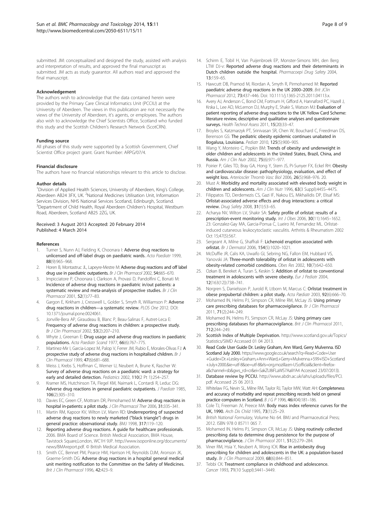<span id="page-7-0"></span>submitted. JM: conceptualized and designed the study, assisted with analysis and interpretation of results, and approved the final manuscript as submitted. JM acts as study guarantor. All authors read and approved the final manuscript.

#### Acknowledgement

The authors wish to acknowledge that the data contained herein were provided by the Primary Care Clinical Informatics Unit (PCCIU) at the University of Aberdeen. The views in this publication are not necessarily the views of the University of Aberdeen, it's agents, or employees. The authors also wish to acknowledge the Chief Scientists Office, Scotland who funded this study and the Scottish Children's Research Network (ScotCRN).

#### Funding source

All phases of this study were supported by a Scottish Government, Chief Scientist Office project grant. Grant Number: ARPG/07/4.

#### Financial disclosure

The authors have no financial relationships relevant to this article to disclose.

#### Author details

<sup>1</sup>Division of Applied Health Sciences, University of Aberdeen, King's College, Aberdeen AB24 3FX, UK. <sup>2</sup>National Medicines Utilisation Unit, Information Services Division, NHS National Services Scotland, Edinburgh, Scotland. <sup>3</sup>Department of Child Health, Royal Aberdeen Children's Hospital, Westburn Road, Aberdeen, Scotland AB25 2ZG, UK.

#### Received: 3 August 2013 Accepted: 20 February 2014 Published: 4 March 2014

#### References

- 1. Turner S, Nunn AJ, Fielding K, Choonara I: Adverse drug reactions to unlicensed and off-label drugs on paediatric wards. Acta Paediatr 1999, 88(9):965–968.
- 2. Horen B, Montastruc JL, Lapeyre-Mestre M: Adverse drug reactions and off label drug use in paediatric outpatients. Br J Clin Pharmacol 2002, 54:665-670.
- Impicciatore P, Choonara I, Clarkson A, Provasi D, Pandolfini C, Bonati M: Incidence of adverse drug reactions in paediatric in/out patients: a systematic review and meta-analysis of prospective studies. Br J Clin Pharmacol 2001, 52(1):77–83.
- 4. Gargon E, Kirkham J, Cresswell L, Golder S, Smyth R, Williamson P: Adverse drug reactions in children—a systematic review. PLOS One 2012. DOI: 10.1371/journal.pone.0024061.
- 5. Jonville-Bera AP, Giraudeau B, Blanc P, Beau-Salinas F, Autret-Leca E: Frequency of adverse drug reactions in children: a prospective study. Br J Clin Pharmacol 2002, 53(2):207–210.
- Whyte J, Greenan E: Drug usage and adverse drug reactions in paediatric populations. Acta Paediatr Scand 1977, 66(6):767–775.
- 7. Martinez-Mir I, Garcia-Lopez M, Palop V, Ferrer JM, Rubio E, Morales-Olivas FJ: A prospective study of adverse drug reactions in hospitalised children. Br J Clin Pharmacol 1999, 47(6):681–688.
- 8. Weiss J, Krebs S, Hoffman C, Werner U, Neubert A, Brune K, Rascher W: Survey of adverse drug reactions on a paediatric ward: a strategy for early and detailed detection. Pediatrics 2002, 110(2 Pt 1):254-257
- 9. Kramer MS, Hutchinson TA, Flegel KM, Naimark L, Contardi R, Leduc DG: Adverse drug reactions in general paediatric outpatients. J Paediatr 1985, 106(2):305–310.
- 10. Davies EC, Green CF, Mottram DR, Pirmohamed M: Adverse drug reactions in hospital in-patients: a pilot study. J Clin Pharmacol Ther 2006, 31:335-341.
- 11. Martin RM, Kapoor KV, Wilton LV, Mann RD: Underreporting of suspected adverse drug reactions to newly marketed ("black triangle") drugs in general practice: observational study. BMJ 1998, 317:119–120.
- 12. Reporting adverse drug reactions. A guide for healthcare professionals. 2006. BMA Board of Science. British Medical Association, BMA House, Tavistock Square,London, WC1H 9JP. [http://www.isoponline.org/documents/](http://www.isoponline.org/documents/news/BMAreport.pdf) [news/BMAreport.pdf](http://www.isoponline.org/documents/news/BMAreport.pdf). © British Medical Association.
- 13. Smith CC, Bennet PM, Pearce HM, Harrison HI, Reynolds DJM, Aronson JK, Graeme-Smith DG: Adverse drug reactions in a hospital general medical unit meriting notification to the Committee on the Safety of Medicines. Brit J Clin Pharmacol 1996, 42:423–9.
- 14. Schirm E, Tobil H, Van Puijenbroek EP, Monster-Simons MH, den Berg LTW DJ-v: Reported adverse drug reactions and their determinants in Dutch children outside the hospital. Pharmacoepi Drug Safety 2004, 13:159–65.
- 15. Hawcutt DB, Pramod M, Riordan A, Smyth R, Pirmohamed M: Reported paediatric adverse drug reactions in the UK 2000-2009. Brit JClin Pharmacol 2012, 73:437-446. Doi: 10.1111/j.1365-2125.2011.04113.x.
- 16. Avery AJ, Anderson C, Bond CM, Fortnum H, Gifford A, Hannaford PC, Hazell J, Krska L, Lee AD, McLernon DJ, Murphy E, Shakir S, Watson MJ: Evaluation of patient reporting of adverse drug reactions to the UK Yellow Card Scheme: literature review, descriptive and qualitative analyses and questionnaire surveys. Health Technol Assess 2011, 15(20):33–47.
- 17. Broyles S, Katzmarzyk PT, Srinivasan SR, Chen W, Bouchard C, Freedman DS, Berenson GS: The pediatric obesity epidemic continues unabated in Bogalusa, Louisiana. Pediatr 2010, 125(5):900–905.
- 18. Wang Y, Monteiro C, Popkin BM: Trends of obesity and underweight in older children and adolescents in the United States, Brazil, China, and Russia. Am J Clin Nutr 2002, 75(6):971–977.
- 19. Poirier P, Giles TD, Bray GA, Hong Y, Stern JS, Pi-Sunyer FX, Eckel RH: Obesity and cardiovascular disease: pathophysiology, evaluation, and effect of weight loss. Arterioscler Thromb Vasc Biol 2006, 26(5):968–976. 20.
- 20. Must A: Morbidity and mortality associated with elevated body weight in children and adolescents. Am J Clin Nutr 1996, 63(3 Suppl):445S-447S.
- 21. Filippatos TD, Derdemezis CS, Gazi IF, Nakou ES, Mikhailidis DP, Elisaf MS: Orlistat-associated adverse effects and drug interactions: a critical review. Drug Safety 2008, 31(1):53–65.
- 22. Acharya NV, Wilton LV, Shakir SA: Safety profile of orlistat: results of a prescription-event monitoring study. Int J Obes 2006, 30(11):1645–1652. 23: Gonzalez-Gay MA, Garcia-Porrua C, Lueiro M, Fernandez ML. Orlistatinduced cutaneous leukocytoclastic vasculitis. Arthritis & Rheumatism 2002 Oct 15;47(5):567.
- 23. Sergeant A, Milne G, Shaffrali F: Lichenoid eruption associated with orlistat. Br J Dermatol 2006, 154(5):1020–1021.
- 24. McDuffie JR, Calis KA, Uwaifo GI, Sebring NG, Fallon EM, Hubbard VS, Yanovski JA: Three-month tolerability of orlistat in adolescents with obesity-related comorbid conditions. Obes Res 2002, 10(7):642–650.
- 25. Ozkan B, Bereket A, Turan S, Keskin S: Addition of orlistat to conventional treatment in adolescents with severe obesity. Eur J Pediatr 2004, 12(163(12)):738–741.
- 26. Norgren S, Danielsson P, Jurold R, Ltborn M, Marcus C: Orlistat treatment in obese prepubertal children: a pilot study. Acta Pædiatr 2003, 92(6):666–70.
- 27. Mohamed IN, Helms PJ, Simpson CR, Milne RM, McLay JS: Using primary care prescribing databases for pharmacovigilance. Br J Clin Pharmacol 2011, 71(2):244–249.
- 28. Mohamed IN, Helms PJ, Simpson CR, McLay JS: Using primary care prescribing databases for pharmacovigilance. Brit J Clin Pharmacol 2011, 712:244–249.
- 29. Scottish Index of Multiple Deprivation. [http://www.scotland.gov.uk/Topics/](http://www.scotland.gov.uk/Topics/Statistics/SIMD) [Statistics/SIMD](http://www.scotland.gov.uk/Topics/Statistics/SIMD) Accessed 01 04 2013.
- 30. Read Code User Guide Dr. Lesley Graham, Ann Ward, Gerry Mulvenna. ISD Scotland July 2000. [https://www.google.co.uk/search?q=Read+Code+User](https://www.google.co.uk/search?q=Read+Code+User+Guide+Dr.+Lesley+Graham,+Ann+Ward,+Gerry+Mulvenna.+599+ISD+Scotland+July+2000.&ie=utf-8&oe=utf-8&rls=org.mozilla:en-US:official&client=firefox-a&channel=sb&gws_rd=cr&ei=SakZU8iFLaWS7AaIiYA4) [+Guide+Dr.+Lesley+Graham,+Ann+Ward,+Gerry+Mulvenna.+599+ISD+Scotland](https://www.google.co.uk/search?q=Read+Code+User+Guide+Dr.+Lesley+Graham,+Ann+Ward,+Gerry+Mulvenna.+599+ISD+Scotland+July+2000.&ie=utf-8&oe=utf-8&rls=org.mozilla:en-US:official&client=firefox-a&channel=sb&gws_rd=cr&ei=SakZU8iFLaWS7AaIiYA4) [+July+2000.&ie=utf-8&oe=utf-8&rls=org.mozilla:en-US:official&client=firefox](https://www.google.co.uk/search?q=Read+Code+User+Guide+Dr.+Lesley+Graham,+Ann+Ward,+Gerry+Mulvenna.+599+ISD+Scotland+July+2000.&ie=utf-8&oe=utf-8&rls=org.mozilla:en-US:official&client=firefox-a&channel=sb&gws_rd=cr&ei=SakZU8iFLaWS7AaIiYA4)[a&channel=sb&gws\\_rd=cr&ei=SakZU8iFLaWS7AaIiYA4](https://www.google.co.uk/search?q=Read+Code+User+Guide+Dr.+Lesley+Graham,+Ann+Ward,+Gerry+Mulvenna.+599+ISD+Scotland+July+2000.&ie=utf-8&oe=utf-8&rls=org.mozilla:en-US:official&client=firefox-a&channel=sb&gws_rd=cr&ei=SakZU8iFLaWS7AaIiYA4) Accessed 23/07/2013).
- 31. Database review by PCCIU. [http://www.abdn.ac.uk/iahs/uploads/files/PCI.](http://www.abdn.ac.uk/iahs/uploads/files/PCI.pdf) [pdf](http://www.abdn.ac.uk/iahs/uploads/files/PCI.pdf). Accessed 25 06 2013.
- 32. Whitelaw FG, Nevin SL, Milne RM, Taylor RJ, Taylor MW, Watt AH: Completeness and accuracy of morbidity and repeat prescribing records held on general practice computers in Scotland. B J G P 1996, 46(404):181-186.
- 33. Cole TJ, Freeman JV, Preece MA: Body mass index reference curves for the UK, 1990. Arch Dis Child 1995, 73(1):25–29.
- 34. British National Formulary, Volume No 64. BMJ and Pharmaceutical Press; 2012. ISBN 978 0 85711 065 7.
- 35. Mohamed IN, Helms PJ, Simpson CR, McLay JS: Using routinely collected prescribing data to determine drug persistence for the purpose of pharmacovigilance. J Clin Pharmacol 2011, 51(2):279–284.
- 36. Viner RM, Hsia Y, Neubert A, Wong ICK: Rise in antiobesity drug prescribing for children and adolescents in the UK: a population-based study. Br J Clin Pharmacol 2009, 68(6):844–851.
- 37. Tebbi CK: Treatment compliance in childhood and adolescence. Cancer 1993, 71(10 Suppl):3441–3449.